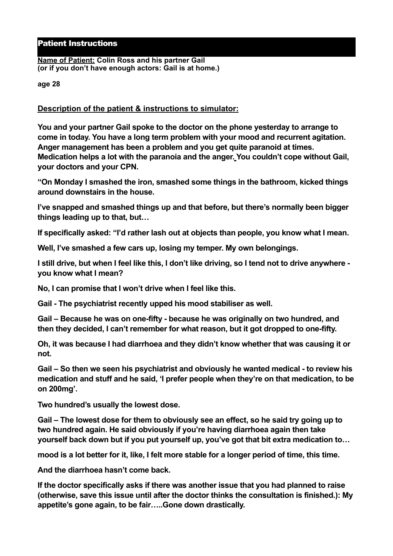## Patient Instructions

**Name of Patient: Colin Ross and his partner Gail (or if you don't have enough actors: Gail is at home.)**

**age 28** 

## **Description of the patient & instructions to simulator:**

**You and your partner Gail spoke to the doctor on the phone yesterday to arrange to come in today. You have a long term problem with your mood and recurrent agitation. Anger management has been a problem and you get quite paranoid at times. Medication helps a lot with the paranoia and the anger. You couldn't cope without Gail, your doctors and your CPN.**

**"On Monday I smashed the iron, smashed some things in the bathroom, kicked things around downstairs in the house.** 

**I've snapped and smashed things up and that before, but there's normally been bigger things leading up to that, but…** 

**If specifically asked: "I'd rather lash out at objects than people, you know what I mean.** 

**Well, I've smashed a few cars up, losing my temper. My own belongings.** 

**I still drive, but when I feel like this, I don't like driving, so I tend not to drive anywhere you know what I mean?** 

**No, I can promise that I won't drive when I feel like this.** 

**Gail - The psychiatrist recently upped his mood stabiliser as well.** 

**Gail – Because he was on one-fifty - because he was originally on two hundred, and then they decided, I can't remember for what reason, but it got dropped to one-fifty.** 

**Oh, it was because I had diarrhoea and they didn't know whether that was causing it or not.** 

**Gail – So then we seen his psychiatrist and obviously he wanted medical - to review his medication and stuff and he said, 'I prefer people when they're on that medication, to be on 200mg'.** 

**Two hundred's usually the lowest dose.** 

**Gail – The lowest dose for them to obviously see an effect, so he said try going up to two hundred again. He said obviously if you're having diarrhoea again then take yourself back down but if you put yourself up, you've got that bit extra medication to…** 

**mood is a lot better for it, like, I felt more stable for a longer period of time, this time.** 

**And the diarrhoea hasn't come back.** 

**If the doctor specifically asks if there was another issue that you had planned to raise (otherwise, save this issue until after the doctor thinks the consultation is finished.): My appetite's gone again, to be fair…..Gone down drastically.**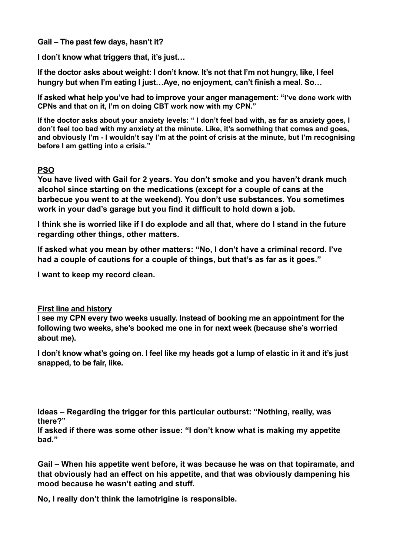**Gail – The past few days, hasn't it?** 

**I don't know what triggers that, it's just…** 

**If the doctor asks about weight: I don't know. It's not that I'm not hungry, like, I feel hungry but when I'm eating I just…Aye, no enjoyment, can't finish a meal. So…** 

**If asked what help you've had to improve your anger management: "I've done work with CPNs and that on it, I'm on doing CBT work now with my CPN."** 

**If the doctor asks about your anxiety levels: " I don't feel bad with, as far as anxiety goes, I don't feel too bad with my anxiety at the minute. Like, it's something that comes and goes, and obviously I'm - I wouldn't say I'm at the point of crisis at the minute, but I'm recognising before I am getting into a crisis."**

## **PSO**

**You have lived with Gail for 2 years. You don't smoke and you haven't drank much alcohol since starting on the medications (except for a couple of cans at the barbecue you went to at the weekend). You don't use substances. You sometimes work in your dad's garage but you find it difficult to hold down a job.**

**I think she is worried like if I do explode and all that, where do I stand in the future regarding other things, other matters.** 

**If asked what you mean by other matters: "No, I don't have a criminal record. I've had a couple of cautions for a couple of things, but that's as far as it goes."** 

**I want to keep my record clean.**

## **First line and history**

**I see my CPN every two weeks usually. Instead of booking me an appointment for the following two weeks, she's booked me one in for next week (because she's worried about me).** 

**I don't know what's going on. I feel like my heads got a lump of elastic in it and it's just snapped, to be fair, like.** 

**Ideas – Regarding the trigger for this particular outburst: "Nothing, really, was there?"** 

**If asked if there was some other issue: "I don't know what is making my appetite bad."** 

**Gail – When his appetite went before, it was because he was on that topiramate, and that obviously had an effect on his appetite, and that was obviously dampening his mood because he wasn't eating and stuff.** 

**No, I really don't think the lamotrigine is responsible.**